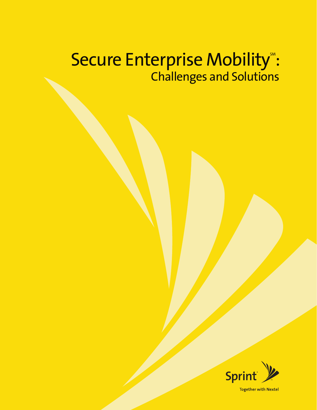# Secure Enterprise Mobility<sup>®</sup>: Challenges and Solutions

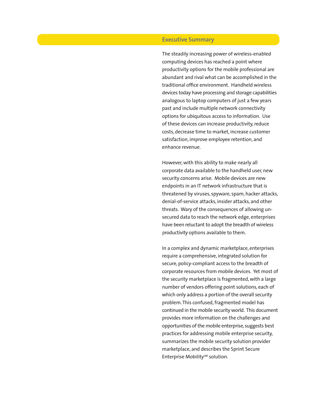# **Executive Summary**

The steadily increasing power of wireless-enabled computing devices has reached a point where productivity options for the mobile professional are abundant and rival what can be accomplished in the traditional office environment. Handheld wireless devices today have processing and storage capabilities analogous to laptop computers of just a few years past and include multiple network connectivity options for ubiquitous access to information. Use of these devices can increase productivity, reduce costs, decrease time to market, increase customer satisfaction, improve employee retention, and enhance revenue.

However, with this ability to make nearly all corporate data available to the handheld user, new security concerns arise. Mobile devices are new endpoints in an IT network infrastructure that is threatened by viruses, spyware, spam, hacker attacks, denial-of-service attacks, insider attacks, and other threats. Wary of the consequences of allowing unsecured data to reach the network edge, enterprises have been reluctant to adopt the breadth of wireless productivity options available to them.

In a complex and dynamic marketplace, enterprises require a comprehensive, integrated solution for secure, policy-compliant access to the breadth of corporate resources from mobile devices. Yet most of the security marketplace is fragmented, with a large number of vendors offering point solutions, each of which only address a portion of the overall security problem. This confused, fragmented model has continued in the mobile security world. This document provides more information on the challenges and opportunities of the mobile enterprise, suggests best practices for addressing mobile enterprise security, summarizes the mobile security solution provider marketplace, and describes the Sprint Secure Enterprise Mobility<sup>SM</sup> solution.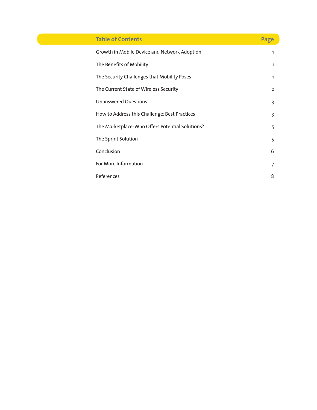| <b>Table of Contents</b>                         | Page           |
|--------------------------------------------------|----------------|
| Growth in Mobile Device and Network Adoption     | 1              |
| The Benefits of Mobility                         | 1              |
| The Security Challenges that Mobility Poses      | 1              |
| The Current State of Wireless Security           | $\overline{2}$ |
| Unanswered Questions                             | 3              |
| How to Address this Challenge: Best Practices    | 3              |
| The Marketplace: Who Offers Potential Solutions? | 5              |
| The Sprint Solution                              | 5              |
| Conclusion                                       | 6              |
| For More Information                             | 7              |
| References                                       | 8              |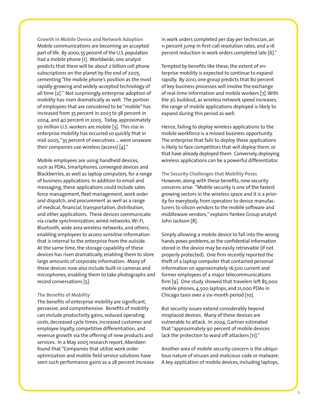**Growth in Mobile Device and Network Adoption** Mobile communications are becoming an accepted part of life. By 2000, 55 percent of the U.S. population had a mobile phone [1]. Worldwide, one analyst predicts that there will be about 2 billion cell phone subscriptions on the planet by the end of 2005, cementing "the mobile phone's position as the most rapidly-growing and widely-accepted technology of all time [2]." Not surprisingly, enterprise adoption of mobility has risen dramatically as well. The portion of employees that are considered to be "mobile" has increased from 35 percent in 2003 to 38 percent in 2004, and 40 percent in 2005. Today, approximately 50 million U.S. workers are mobile [3]. This rise in enterprise mobility has occurred so quickly that in mid-2005, "35 percent of executives ... were unaware their companies use wireless (access) [4]."

Mobile employees are using handheld devices, such as PDAs, Smartphones, converged devices and Blackberries, as well as laptop computers, for a range of business applications. In addition to email and messaging, these applications could include sales force management, fleet management, work order and dispatch, and procurement as well as a range of medical, financial, transportation, distribution, and other applications. These devices communicate via cradle synchronization, wired networks, Wi-Fi, Bluetooth, wide area wireless networks, and others, enabling employees to access sensitive information that is internal to the enterprise from the outside. At the same time, the storage capability of these devices has risen dramatically, enabling them to store large amounts of corporate information. Many of these devices now also include built-in cameras and microphones, enabling them to take photographs and record conversations [5].

# **The Benefits of Mobility**

The benefits of enterprise mobility are significant, pervasive, and comprehensive. Benefits of mobility can include productivity gains, reduced operating costs, decreased cycle times, increased customer and employee loyalty, competitive differentiation, and revenue growth via the offering of new products and services. In a May 2005 research report, Aberdeen found that "Companies that utilize work order optimization and mobile field service solutions have seen such performance gains as a 28 percent increase in work orders completed per day per technician, an 11 percent jump in first-call resolution rates, and a 16 percent reduction in work orders completed late [6]."

Tempted by benefits like these, the extent of enterprise mobility is expected to continue to expand rapidly. By 2010, one group predicts that 80 percent of key business processes will involve the exchange of real-time information and mobile workers [7]. With the 3G buildout, as wireless network speed increases, the range of mobile applications deployed is likely to expand during this period as well.

Hence, failing to deploy wireless applications to the mobile workforce is a missed business opportunity. The enterprise that fails to deploy these applications is likely to face competitors that will deploy them, or that have already deployed them. Conversely, deploying wireless applications can be a powerful differentiator.

**The Security Challenges that Mobility Poses** However, along with these benefits, new security concerns arise. "Mobile security is one of the fastest growing sectors in the wireless space and it is a priority for everybody, from operators to device manufacturers to silicon vendors to the mobile software and middleware vendors," explains Yankee Group analyst John Jackson [8].

Simply allowing a mobile device to fall into the wrong hands poses problems, as the confidential information stored in the device may be easily retrievable (if not properly protected). One firm recently reported the theft of a laptop computer that contained personal information on approximately 16,500 current and former employees of a major telecommunications firm [9]. One study showed that travelers left 85,000 mobile phones, 4,500 laptops, and 21,000 PDAs in Chicago taxis over a six-month period [10].

But security issues extend considerably beyond misplaced devices. Many of these devices are vulnerable to attack. In 2004, Gartner estimated that "approximately 90 percent of mobile devices lack the protection to ward off attackers [11]."

Another area of mobile security concern is the ubiquitous nature of viruses and malicious code or malware. A key application of mobile devices, including laptops,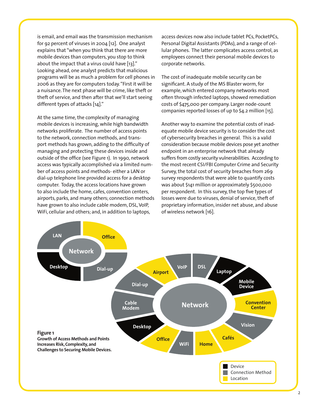is email, and email was the transmission mechanism for 92 percent of viruses in 2004 [12]. One analyst explains that "when you think that there are more mobile devices than computers, you stop to think about the impact that a virus could have [13]." Looking ahead, one analyst predicts that malicious programs will be as much a problem for cell phones in 2006 as they are for computers today. "First it will be a nuisance. The next phase will be crime, like theft or theft of service, and then after that we'll start seeing different types of attacks  $[14]$ ."

At the same time, the complexity of managing mobile devices is increasing, while high bandwidth networks proliferate. The number of access points to the network, connection methods, and transport methods has grown, adding to the difficulty of managing and protecting these devices inside and outside of the office (see Figure 1). In 1990, network access was typically accomplished via a limited number of access points and methods-either a LAN or dial-up telephone line provided access for a desktop computer. Today, the access locations have grown to also include the home, cafes, convention centers, airports, parks, and many others; connection methods have grown to also include cable modem, DSL, VoIP, WiFi, cellular and others; and, in addition to laptops,

access devices now also include tablet PCs, PocketPCs, Personal Digital Assistants (PDAs), and a range of cellular phones. The latter complicates access control, as employees connect their personal mobile devices to corporate networks.

The cost of inadequate mobile security can be significant. A study of the MS Blaster worm, for example, which entered company networks most often through infected laptops, showed remediation costs of \$475,000 per company. Larger node-count companies reported losses of up to \$4.2 million [15].

Another way to examine the potential costs of inadequate mobile device security is to consider the cost of cybersecurity breaches in general. This is a valid consideration because mobile devices pose yet another endpoint in an enterprise network that already suffers from costly security vulnerabilities. According to the most recent CSI/FBI Computer Crime and Security Survey, the total cost of security breaches from 269 survey respondents that were able to quantify costs was about \$141 million or approximately \$500,000 per respondent. In this survey, the top five types of losses were due to viruses, denial of service, theft of proprietary information, insider net abuse, and abuse of wireless network [16].

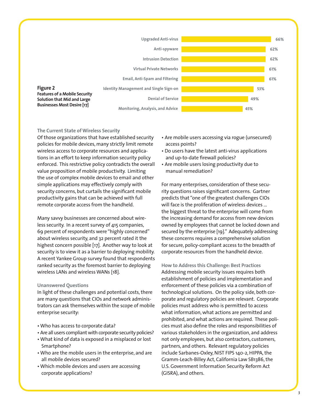

### The Current State of Wireless Security

Of those organizations that have established security policies for mobile devices, many strictly limit remote wireless access to corporate resources and applications in an effort to keep information security policy enforced. This restrictive policy contradicts the overall value proposition of mobile productivity. Limiting the use of complex mobile devices to email and other simple applications may effectively comply with security concerns, but curtails the significant mobile productivity gains that can be achieved with full remote corporate access from the handheld.

Many savvy businesses are concerned about wireless security. In a recent survey of 415 companies, 69 percent of respondents were "highly concerned" about wireless security, and 32 percent rated it the highest concern possible [17]. Another way to look at security is to view it as a barrier to deploying mobility. A recent Yankee Group survey found that respondents ranked security as the foremost barrier to deploying wireless LANs and wireless WANs [18].

#### **Unanswered Ouestions**

In light of these challenges and potential costs, there are many questions that CIOs and network administrators can ask themselves within the scope of mobile enterprise security:

- . Who has access to corporate data?
- Are all users compliant with corporate security policies?
- . What kind of data is exposed in a misplaced or lost Smartphone?
- Who are the mobile users in the enterprise, and are all mobile devices secured?
- Which mobile devices and users are accessing corporate applications?
- Are mobile users accessing via rogue (unsecured) access points?
- Do users have the latest anti-virus applications and up-to-date firewall policies?
- Are mobile users losing productivity due to manual remediation?

For many enterprises, consideration of these security questions raises significant concerns. Gartner predicts that "one of the greatest challenges CIOs will face is the proliferation of wireless devices ... the biggest threat to the enterprise will come from the increasing demand for access from new devices owned by employees that cannot be locked down and secured by the enterprise [19]." Adequately addressing these concerns requires a comprehensive solution for secure, policy-compliant access to the breadth of corporate resources from the handheld device.

How to Address this Challenge: Best Practices Addressing mobile security issues requires both establishment of policies and implementation and enforcement of these policies via a combination of technological solutions. On the policy side, both corporate and regulatory policies are relevant. Corporate policies must address who is permitted to access what information, what actions are permitted and prohibited, and what actions are required. These policies must also define the roles and responsibilities of various stakeholders in the organization, and address not only employees, but also contractors, customers, partners, and others. Relevant regulatory policies include Sarbanes-Oxley, NIST FIPS 140-2, HIPPA, the Gramm-Leach-Billey Act, California Law SB1386, the U.S. Government Information Security Reform Act (GISRA), and others.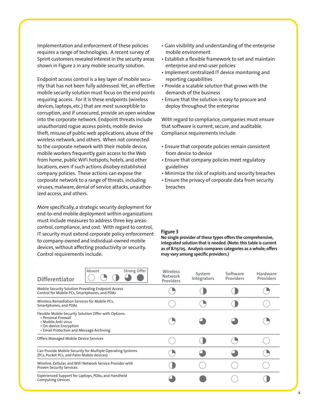Implementation and enforcement of these policies requires a range of technologies. A recent survey of Sprint customers revealed interest in the security areas shown in Figure 2 in any mobile security solution.

Endpoint access control is a key layer of mobile security that has not been fully addressed. Yet, an effective mobile security solution must focus on the end points requiring access. For it is these endpoints (wireless devices, laptops, etc.) that are most susceptible to corruption, and if unsecured, provide an open window into the corporate network. Endpoint threats include unauthorized rogue access points, mobile device theft, misuse of public web applications, abuse of the wireless network, and others. When not connected to the corporate network with their mobile device, mobile workers frequently gain access to the Web from home, public WiFi hotspots, hotels, and other locations, even if such actions disobey established company policies. These actions can expose the corporate network to a range of threats, including viruses, malware, denial of service attacks, unauthorized access, and others.

More specifically, a strategic security deployment for end-to-end mobile deployment within organizations must include measures to address three key areas: control, compliance, and cost. With regard to control, IT security must extend corporate policy enforcement to company-owned and individual-owned mobile devices, without affecting productivity or security. Control requirements include:

- Gain visibility and understanding of the enterprise mobile environment
- Establish a flexible framework to set and maintain enterprise and end-user policies
- Implement centralized IT device monitoring and reporting capabilities
- Provide a scalable solution that grows with the demands of the business
- Ensure that the solution is easy to procure and deploy throughout the enterprise

With regard to compliance, companies must ensure that software is current, secure, and auditable. Compliance requirements include:

- Ensure that corporate policies remain consistent from device to device
- Ensure that company policies meet regulatory guidelines
- Minimize the risk of exploits and security breaches
- Ensure the privacy of corporate data from security breaches

#### **Figure 3**

**No single provider of these types offers the comprehensive, integrated solution that is needed. (Note: this table is current as of 8/15/05. Analysis compares categories as a whole; offers**  may vary among specific providers.)

| Absent<br><b>Differentiator</b>                                                                                                                                           | <b>Strong Offer</b> | <b>Wireless</b><br><b>Network</b><br><b>Providers</b> | System<br><b>Integrators</b> | Software<br><b>Providers</b> | <b>Hardware</b><br><b>Providers</b> |
|---------------------------------------------------------------------------------------------------------------------------------------------------------------------------|---------------------|-------------------------------------------------------|------------------------------|------------------------------|-------------------------------------|
| Mobile Security Solution Providing Endpoint Access<br>Control for Mobile PCs, Smartphones, and PDAs                                                                       |                     |                                                       |                              |                              |                                     |
| Wireless Remediation Services for Mobile PCs,<br>Smartphones, and PDAs                                                                                                    |                     |                                                       |                              |                              |                                     |
| Flexible Mobile Security Solution Offer with Options:<br>• Personal Firewall<br>• Mobile Anti-virus<br>• On-device Encryption<br>• Email Protection and Message Archiving |                     |                                                       |                              |                              |                                     |
| Offers Managed Mobile Device Services                                                                                                                                     |                     |                                                       |                              |                              |                                     |
| Can Provide Mobile Security for Multiple Operating Systems<br>(PCs, Pocket PCs, and Palm Mobile devices)                                                                  |                     |                                                       |                              |                              |                                     |
| Wireline, Cellular, and WiFi Network Service Provider with<br><b>Proven Security Services</b>                                                                             |                     |                                                       |                              |                              |                                     |
| Experienced Support for Laptops, PDAs, and Handheld<br><b>Computing Devices</b>                                                                                           |                     |                                                       |                              |                              |                                     |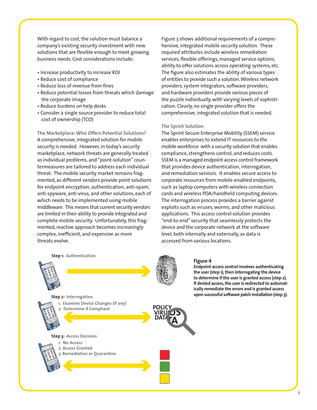With regard to cost, the solution must balance a company's existing security investment with new solutions that are flexible enough to meet growing business needs. Cost considerations include:

- Increase productivity to increase ROI
- Reduce cost of compliance
- Reduce loss of revenue from fines
- Reduce potential losses from threats which damage the corporate image
- · Reduce burdens on help desks
- Consider a single source provider to reduce total cost of ownership (TCO)

The Marketplace: Who Offers Potential Solutions? A comprehensive, integrated solution for mobile security is needed. However, in today's security marketplace, network threats are generally treated as individual problems, and "point-solution" countermeasures are tailored to address each individual threat. The mobile security market remains fragmented, as different vendors provide point solutions for endpoint encryption, authentication, anti-spam, anti-spyware, anti-virus, and other solutions, each of which needs to be implemented using mobile middleware. This means that current security vendors are limited in their ability to provide integrated and complete mobile security. Unfortunately, this fragmented, reactive approach becomes increasingly complex, inefficient, and expensive as more threats evolve.

Figure 3 shows additional requirements of a comprehensive, integrated mobile security solution. These required attributes include wireless remediation services, flexible offerings, managed service options, ability to offer solutions across operating systems, etc. The figure also estimates the ability of various types of entities to provide such a solution. Wireless network providers, system integrators, software providers, and hardware providers provide various pieces of the puzzle individually, with varying levels of sophistication. Clearly, no single provider offers the comprehensive, integrated solution that is needed.

#### **The Sprint Solution**

The Sprint Secure Enterprise Mobility (SSEM) service enables enterprises to extend IT resources to the mobile workforce with a security solution that enables compliance, strengthens control, and reduces costs. SSEM is a managed endpoint access control framework that provides device authentication, interrogation, and remediation services. It enables secure access to corporate resources from mobile-enabled endpoints, such as laptop computers with wireless connection cards and wireless PDA/handheld computing devices. The interrogation process provides a barrier against exploits such as viruses, worms, and other malicious applications. This access control solution provides "end-to-end" security that seamlessly protects the device and the corporate network at the software level, both internally and externally, as data is accessed from various locations.

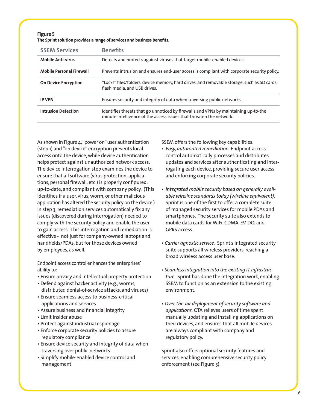| Figure 5                                                                |
|-------------------------------------------------------------------------|
| The Sprint solution provides a range of services and business benefits. |

| <b>SSEM Services</b>            | <b>Benefits</b>                                                                                                                                            |
|---------------------------------|------------------------------------------------------------------------------------------------------------------------------------------------------------|
| <b>Mobile Anti-virus</b>        | Detects and protects against viruses that target mobile-enabled devices.                                                                                   |
| <b>Mobile Personal Firewall</b> | Prevents intrusion and ensures end-user access is compliant with corporate security policy.                                                                |
| <b>On Device Encryption</b>     | "Locks" files/folders, device memory, hard drives, and removable storage, such as SD cards,<br>flash media, and USB drives.                                |
| <b>IP VPN</b>                   | Ensures security and integrity of data when traversing public networks.                                                                                    |
| <b>Intrusion Detection</b>      | Identifies threats that go unnoticed by firewalls and VPNs by maintaining up-to-the<br>minute intelligence of the access issues that threaten the network. |

As shown in Figure 4, "power on" user authentication (step 1) and "on device" encryption prevents local access onto the device, while device authentication helps protect against unauthorized network access. The device interrogation step examines the device to ensure that all software (virus protection, applications, personal firewall, etc.) is properly configured, up-to-date, and compliant with company policy. (This identifies if a user, virus, worm, or other malicious application has altered the security policy on the device.) In step 3, remediation services automatically fix any issues (discovered during interrogation) needed to comply with the security policy and enable the user to gain access. This interrogation and remediation is effective - not just for company-owned laptops and handhelds/PDAs, but for those devices owned by employees, as well.

Endpoint access control enhances the enterprises' ability to:

- Ensure privacy and intellectual property protection
- Defend against hacker activity (e.g., worms, distributed denial-of-service attacks, and viruses)
- Ensure seamless access to business-critical applications and services
- Assure business and financial integrity
- Limit insider abuse
- Protect against industrial espionage
- Enforce corporate security policies to assure regulatory compliance
- Ensure device security and integrity of data when traversing over public networks
- Simplify mobile-enabled device control and management

SSEM offers the following key capabilities:

- *Easy, automated remediation.* Endpoint access control automatically processes and distributes updates and services after authenticating and interrogating each device, providing secure user access and enforcing corporate security policies.
- *Integrated mobile security based on generally available wireline standards today (wireline equivalent)*. Sprint is one of the first to offer a complete suite of managed security services for mobile PDAs and smartphones. The security suite also extends to mobile data cards for WiFi, CDMA, EV-DO, and GPRS access.
- *Carrier agnostic service.* Sprint's integrated security suite supports all wireless providers, reaching a broad wireless access user base.
- *Seamless integration into the existing IT infrastructure.* Sprint has done the integration work, enabling SSEM to function as an extension to the existing environment.
- *Over-the-air deployment of security software and applications.* OTA relieves users of time spent manually updating and installing applications on their devices, and ensures that all mobile devices are always compliant with company and regulatory policy.

Sprint also offers optional security features and services, enabling comprehensive security policy enforcement (see Figure 5).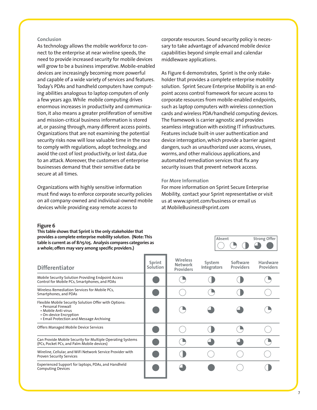### **Conclusion**

As technology allows the mobile workforce to connect to the enterprise at near wireline speeds, the need to provide increased security for mobile devices will grow to be a business imperative. Mobile-enabled devices are increasingly becoming more powerful and capable of a wide variety of services and features. Today's PDAs and handheld computers have computing abilities analogous to laptop computers of only a few years ago. While mobile computing drives enormous increases in productivity and communication, it also means a greater proliferation of sensitive and mission-critical business information is stored at, or passing through, many different access points. Organizations that are not examining the potential security risks now will lose valuable time in the race to comply with regulations, adopt technology, and avoid the cost of lost productivity, or lost data, due to an attack. Moreover, the customers of enterprise businesses demand that their sensitive data be secure at all times.

Organizations with highly sensitive information must find ways to enforce corporate security policies on all company-owned and individual-owned mobile devices while providing easy remote access to

corporate resources. Sound security policy is necessary to take advantage of advanced mobile device capabilities beyond simple email and calendar middleware applications.

As Figure 6 demonstrates, Sprint is the only stakeholder that provides a complete enterprise mobility solution. Sprint Secure Enterprise Mobility is an endpoint access control framework for secure access to corporate resources from mobile-enabled endpoints, such as laptop computers with wireless connection cards and wireless PDA/handheld computing devices. The framework is carrier agnostic and provides seamless integration with existing IT infrastructures. Features include built-in user authentication and device interrogation, which provide a barrier against dangers, such as unauthorized user access, viruses, worms, and other malicious applications, and automated remediation services that fix any security issues that prevent network access.

#### **For More Information**

For more information on Sprint Secure Enterprise Mobility, contact your Sprint representative or visit us at www.sprint.com/business or email us at MobileBusiness@sprint.com

#### **Figure 6**

**This table shows that Sprint is the only stakeholder that provides a complete enterprise mobility solution. (Note: This table is current as of 8/15/05. Analysis compares categories as**  a whole; offers may vary among specific providers.)



| <b>Differentiator</b>                                                                                                                                                     | Sprint<br>Solution | <b>Wireless</b><br><b>Network</b><br><b>Providers</b> | System<br><b>Integrators</b> | Software<br><b>Providers</b> | Hardware<br><b>Providers</b> |
|---------------------------------------------------------------------------------------------------------------------------------------------------------------------------|--------------------|-------------------------------------------------------|------------------------------|------------------------------|------------------------------|
| Mobile Security Solution Providing Endpoint Access<br>Control for Mobile PCs, Smartphones, and PDAs                                                                       |                    |                                                       |                              |                              |                              |
| Wireless Remediation Services for Mobile PCs,<br>Smartphones, and PDAs                                                                                                    |                    |                                                       |                              |                              |                              |
| Flexible Mobile Security Solution Offer with Options:<br>• Personal Firewall<br>• Mobile Anti-virus<br>• On-device Encryption<br>• Email Protection and Message Archiving |                    |                                                       |                              |                              |                              |
| Offers Managed Mobile Device Services                                                                                                                                     |                    |                                                       |                              |                              |                              |
| Can Provide Mobile Security for Multiple Operating Systems<br>(PCs, Pocket PCs, and Palm Mobile devices)                                                                  |                    |                                                       |                              |                              |                              |
| Wireline, Cellular, and WiFi Network Service Provider with<br><b>Proven Security Services</b>                                                                             |                    |                                                       |                              |                              |                              |
| Experienced Support for laptops, PDAs, and Handheld<br><b>Computing Devices</b>                                                                                           |                    |                                                       |                              |                              |                              |